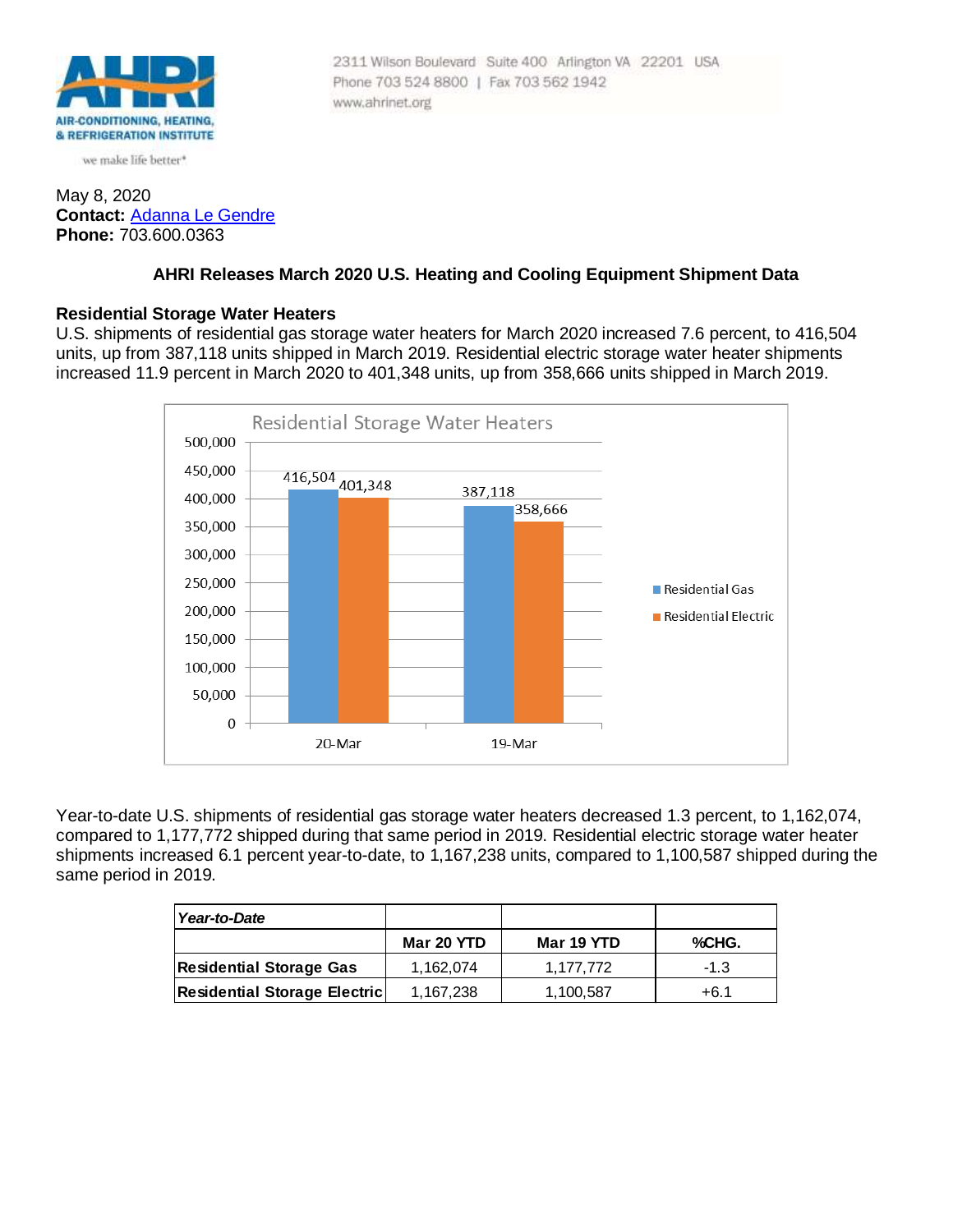

we make life better\*

### May 8, 2020 **Contact:** [Adanna Le Gendre](mailto:AleGendre@ahrinet.org) **Phone:** 703.600.0363

# **AHRI Releases March 2020 U.S. Heating and Cooling Equipment Shipment Data**

Phone 703 524 8800 | Fax 703 562 1942

www.ahrinet.org

2311 Wilson Boulevard Suite 400 Arlington VA 22201 USA

#### **Residential Storage Water Heaters**

U.S. shipments of residential gas storage water heaters for March 2020 increased 7.6 percent, to 416,504 units, up from 387,118 units shipped in March 2019. Residential electric storage water heater shipments increased 11.9 percent in March 2020 to 401,348 units, up from 358,666 units shipped in March 2019.



Year-to-date U.S. shipments of residential gas storage water heaters decreased 1.3 percent, to 1,162,074, compared to 1,177,772 shipped during that same period in 2019. Residential electric storage water heater shipments increased 6.1 percent year-to-date, to 1,167,238 units, compared to 1,100,587 shipped during the same period in 2019.

| Year-to-Date                        |            |            |        |
|-------------------------------------|------------|------------|--------|
|                                     | Mar 20 YTD | Mar 19 YTD | %CHG.  |
| <b>Residential Storage Gas</b>      | 1.162.074  | 1.177.772  | $-1.3$ |
| <b>Residential Storage Electric</b> | 1,167,238  | 1,100,587  | +6.1   |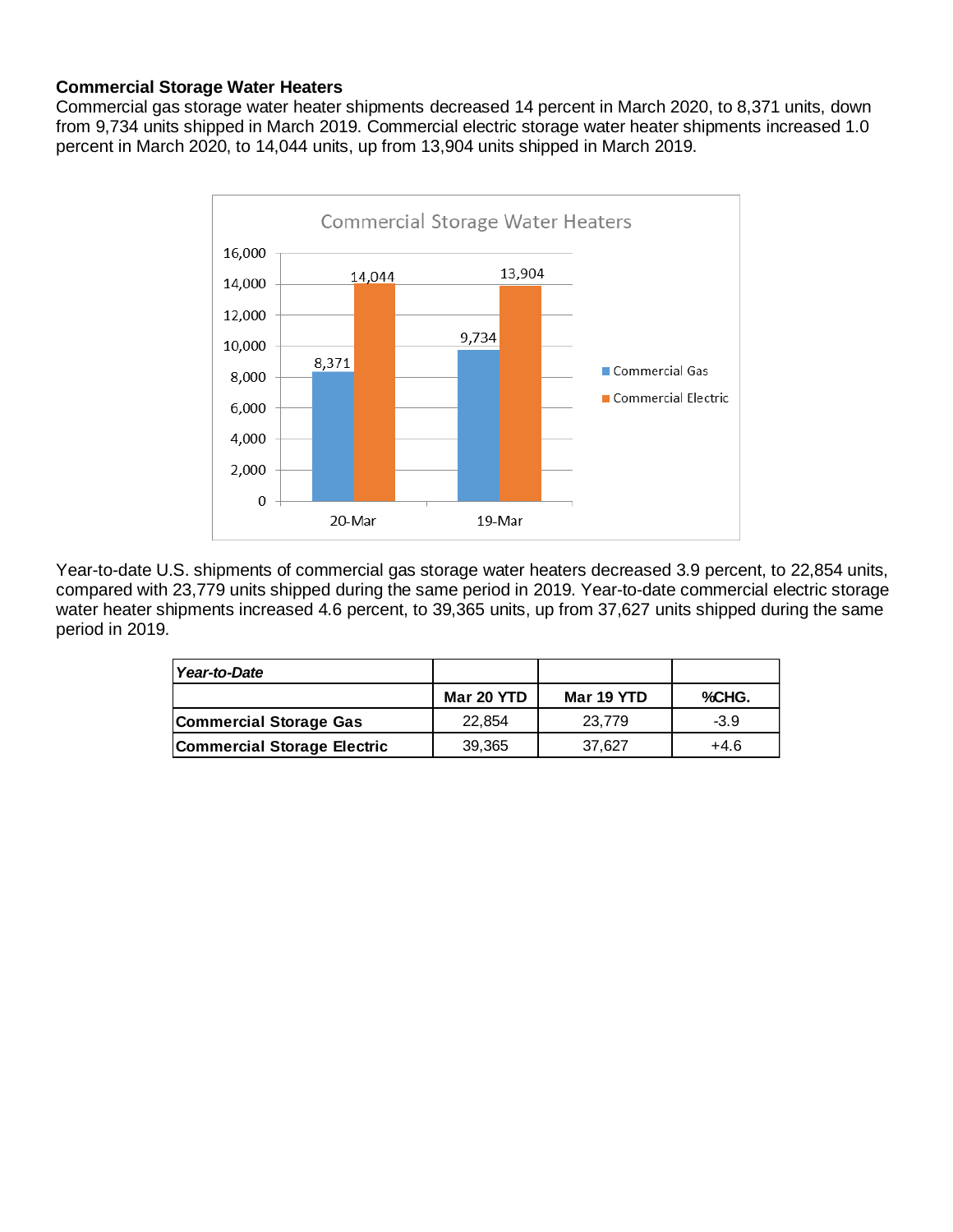## **Commercial Storage Water Heaters**

Commercial gas storage water heater shipments decreased 14 percent in March 2020, to 8,371 units, down from 9,734 units shipped in March 2019. Commercial electric storage water heater shipments increased 1.0 percent in March 2020, to 14,044 units, up from 13,904 units shipped in March 2019.



Year-to-date U.S. shipments of commercial gas storage water heaters decreased 3.9 percent, to 22,854 units, compared with 23,779 units shipped during the same period in 2019. Year-to-date commercial electric storage water heater shipments increased 4.6 percent, to 39,365 units, up from 37,627 units shipped during the same period in 2019.

| Year-to-Date                       |            |            |        |
|------------------------------------|------------|------------|--------|
|                                    | Mar 20 YTD | Mar 19 YTD | %CHG.  |
| Commercial Storage Gas             | 22.854     | 23.779     | $-3.9$ |
| <b>Commercial Storage Electric</b> | 39,365     | 37.627     | +4.6   |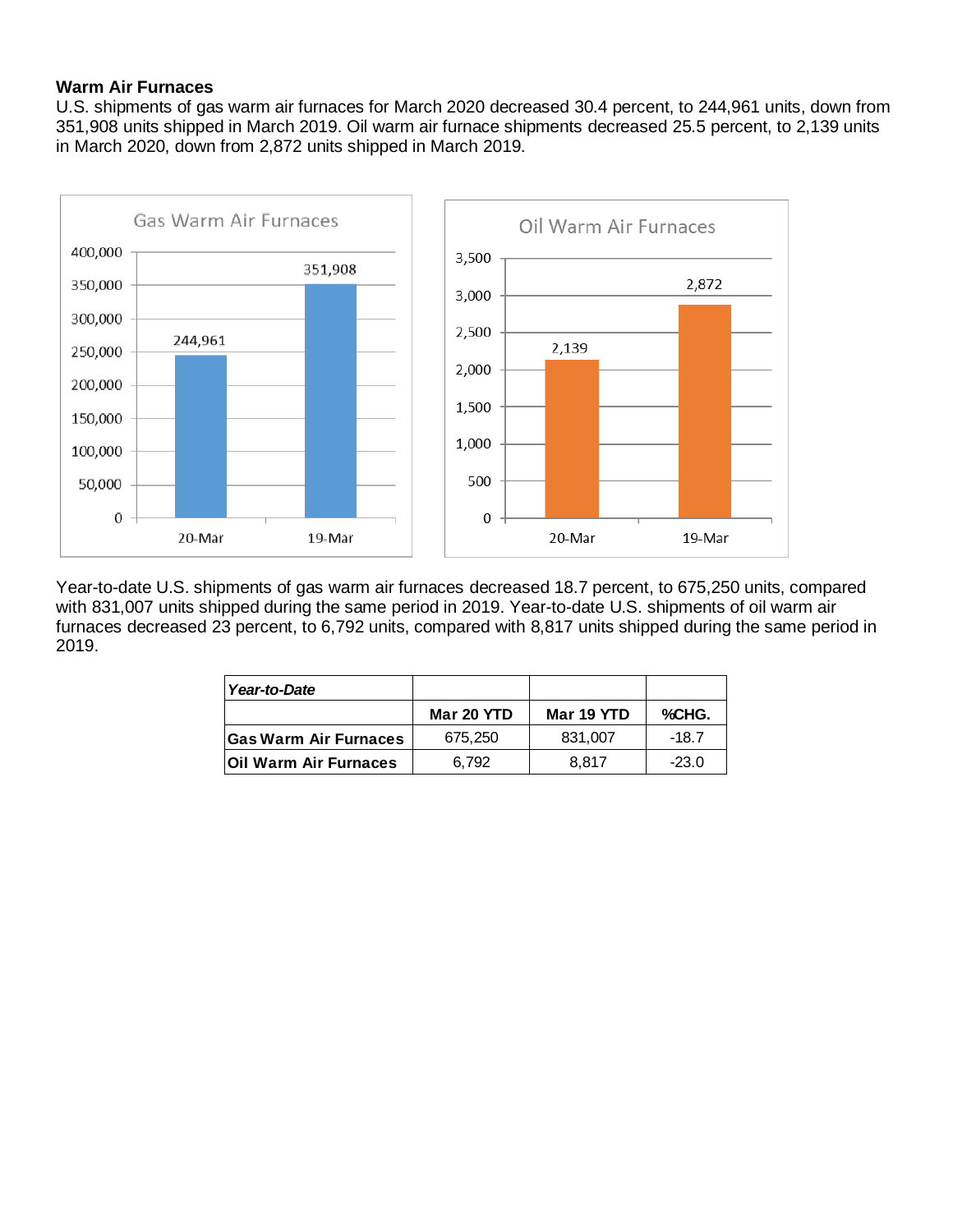## **Warm Air Furnaces**

U.S. shipments of gas warm air furnaces for March 2020 decreased 30.4 percent, to 244,961 units, down from 351,908 units shipped in March 2019. Oil warm air furnace shipments decreased 25.5 percent, to 2,139 units in March 2020, down from 2,872 units shipped in March 2019.



Year-to-date U.S. shipments of gas warm air furnaces decreased 18.7 percent, to 675,250 units, compared with 831,007 units shipped during the same period in 2019. Year-to-date U.S. shipments of oil warm air furnaces decreased 23 percent, to 6,792 units, compared with 8,817 units shipped during the same period in 2019.

| Year-to-Date                 |            |            |         |
|------------------------------|------------|------------|---------|
|                              | Mar 20 YTD | Mar 19 YTD | %CHG.   |
| <b>Gas Warm Air Furnaces</b> | 675.250    | 831.007    | $-18.7$ |
| <b>Oil Warm Air Furnaces</b> | 6.792      | 8.817      | $-23.0$ |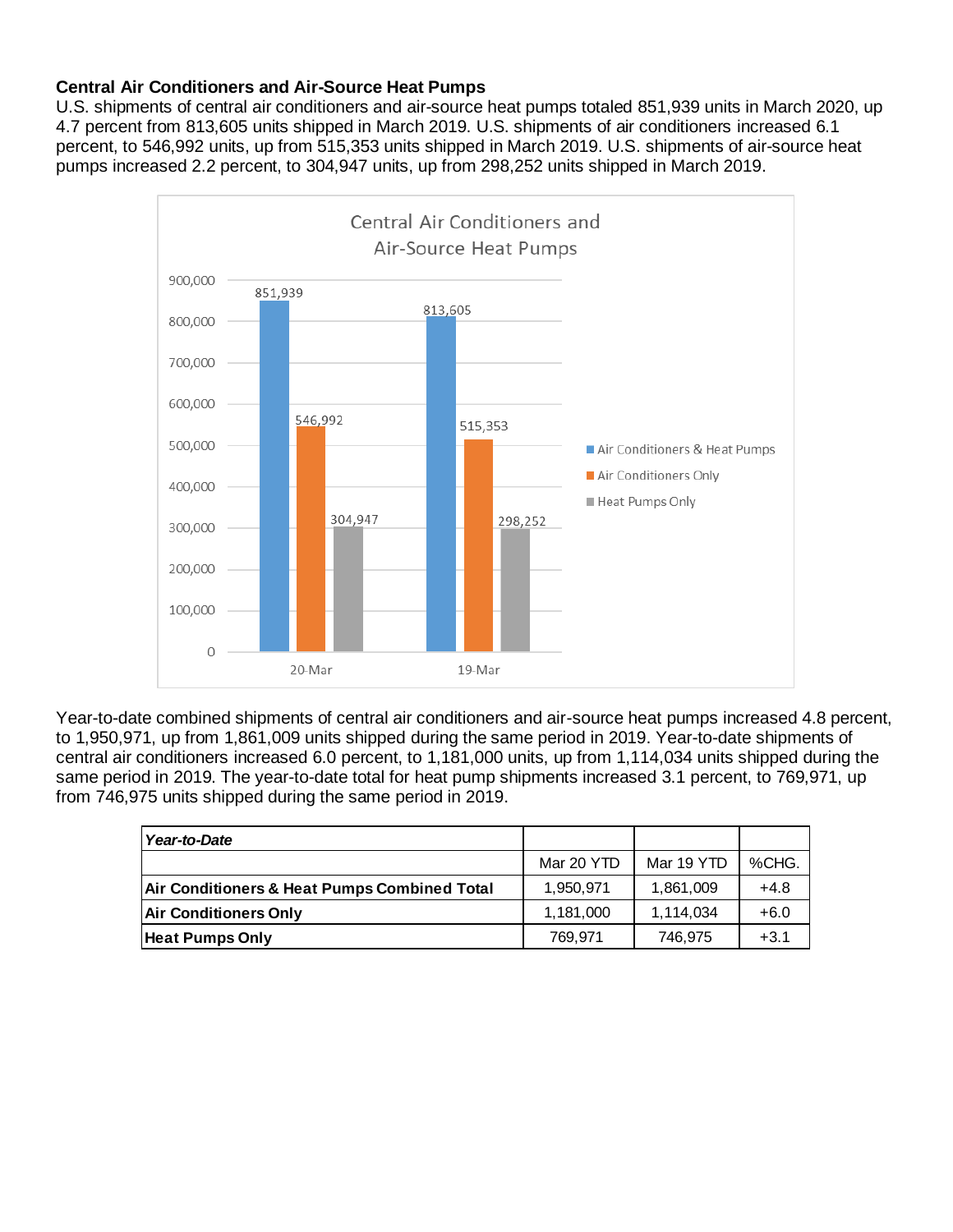## **Central Air Conditioners and Air-Source Heat Pumps**

U.S. shipments of central air conditioners and air-source heat pumps totaled 851,939 units in March 2020, up 4.7 percent from 813,605 units shipped in March 2019. U.S. shipments of air conditioners increased 6.1 percent, to 546,992 units, up from 515,353 units shipped in March 2019. U.S. shipments of air-source heat pumps increased 2.2 percent, to 304,947 units, up from 298,252 units shipped in March 2019.



Year-to-date combined shipments of central air conditioners and air-source heat pumps increased 4.8 percent, to 1,950,971, up from 1,861,009 units shipped during the same period in 2019. Year-to-date shipments of central air conditioners increased 6.0 percent, to 1,181,000 units, up from 1,114,034 units shipped during the same period in 2019. The year-to-date total for heat pump shipments increased 3.1 percent, to 769,971, up from 746,975 units shipped during the same period in 2019.

| Year-to-Date                                            |            |            |        |
|---------------------------------------------------------|------------|------------|--------|
|                                                         | Mar 20 YTD | Mar 19 YTD | %CHG.  |
| <b>Air Conditioners &amp; Heat Pumps Combined Total</b> | 1,950,971  | 1,861,009  | $+4.8$ |
| <b>Air Conditioners Only</b>                            | 1,181,000  | 1,114,034  | $+6.0$ |
| <b>Heat Pumps Only</b>                                  | 769,971    | 746,975    | $+3.1$ |